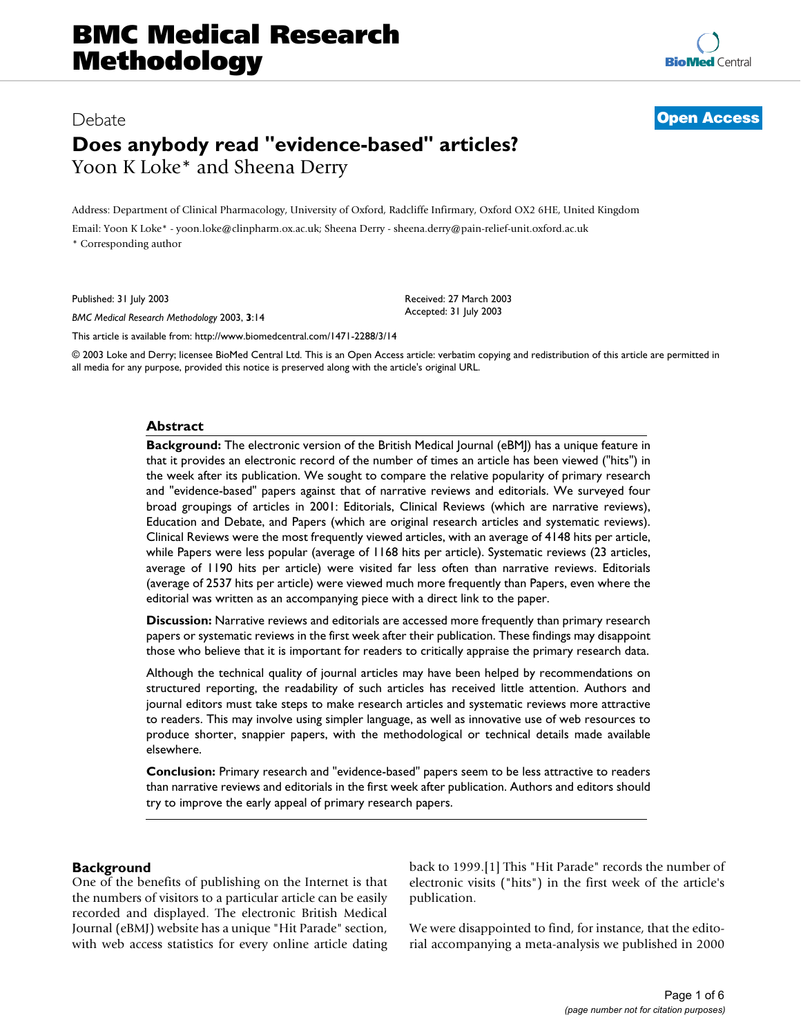# **Does anybody read "evidence-based" articles?** Yoon K Loke\* and Sheena Derry

Address: Department of Clinical Pharmacology, University of Oxford, Radcliffe Infirmary, Oxford OX2 6HE, United Kingdom Email: Yoon K Loke\* - yoon.loke@clinpharm.ox.ac.uk; Sheena Derry - sheena.derry@pain-relief-unit.oxford.ac.uk \* Corresponding author

Published: 31 July 2003

*BMC Medical Research Methodology* 2003, **3**:14

Received: 27 March 2003 Accepted: 31 July 2003

[This article is available from: http://www.biomedcentral.com/1471-2288/3/14](http://www.biomedcentral.com/1471-2288/3/14)

© 2003 Loke and Derry; licensee BioMed Central Ltd. This is an Open Access article: verbatim copying and redistribution of this article are permitted in all media for any purpose, provided this notice is preserved along with the article's original URL.

#### **Abstract**

**Background:** The electronic version of the British Medical Journal (eBMJ) has a unique feature in that it provides an electronic record of the number of times an article has been viewed ("hits") in the week after its publication. We sought to compare the relative popularity of primary research and "evidence-based" papers against that of narrative reviews and editorials. We surveyed four broad groupings of articles in 2001: Editorials, Clinical Reviews (which are narrative reviews), Education and Debate, and Papers (which are original research articles and systematic reviews). Clinical Reviews were the most frequently viewed articles, with an average of 4148 hits per article, while Papers were less popular (average of 1168 hits per article). Systematic reviews (23 articles, average of 1190 hits per article) were visited far less often than narrative reviews. Editorials (average of 2537 hits per article) were viewed much more frequently than Papers, even where the editorial was written as an accompanying piece with a direct link to the paper.

**Discussion:** Narrative reviews and editorials are accessed more frequently than primary research papers or systematic reviews in the first week after their publication. These findings may disappoint those who believe that it is important for readers to critically appraise the primary research data.

Although the technical quality of journal articles may have been helped by recommendations on structured reporting, the readability of such articles has received little attention. Authors and journal editors must take steps to make research articles and systematic reviews more attractive to readers. This may involve using simpler language, as well as innovative use of web resources to produce shorter, snappier papers, with the methodological or technical details made available elsewhere.

**Conclusion:** Primary research and "evidence-based" papers seem to be less attractive to readers than narrative reviews and editorials in the first week after publication. Authors and editors should try to improve the early appeal of primary research papers.

#### **Background**

One of the benefits of publishing on the Internet is that the numbers of visitors to a particular article can be easily recorded and displayed. The electronic British Medical Journal (eBMJ) website has a unique "Hit Parade" section, with web access statistics for every online article dating back to 1999.[1] This "Hit Parade" records the number of electronic visits ("hits") in the first week of the article's publication.

We were disappointed to find, for instance, that the editorial accompanying a meta-analysis we published in 2000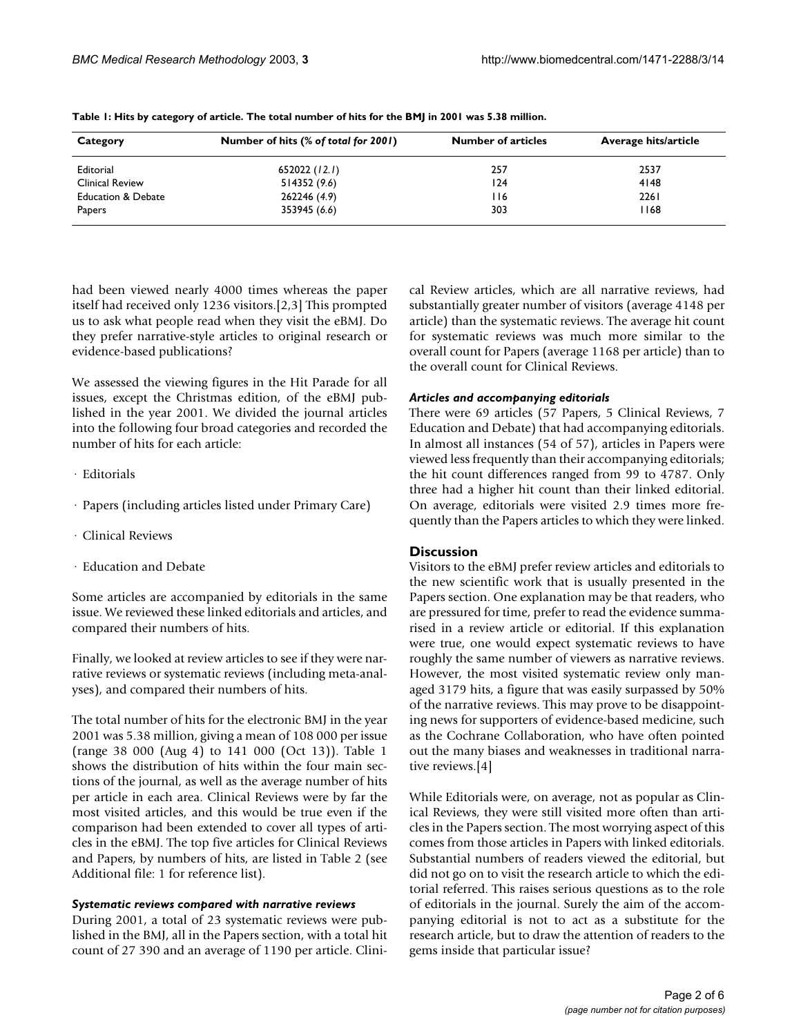| Category                      | Number of hits (% of total for 2001) | <b>Number of articles</b> | Average hits/article |  |
|-------------------------------|--------------------------------------|---------------------------|----------------------|--|
| Editorial                     | $652022$ (12.1)                      | 257                       | 2537                 |  |
| <b>Clinical Review</b>        | 514352 (9.6)                         | 124                       | 4148                 |  |
| <b>Education &amp; Debate</b> | 262246 (4.9)                         | 116                       | 2261                 |  |
| <b>Papers</b>                 | 353945 (6.6)                         | 303                       | 1168                 |  |

<span id="page-1-0"></span>**Table 1: Hits by category of article. The total number of hits for the BMJ in 2001 was 5.38 million.**

had been viewed nearly 4000 times whereas the paper itself had received only 1236 visitors.[2,3] This prompted us to ask what people read when they visit the eBMJ. Do they prefer narrative-style articles to original research or evidence-based publications?

We assessed the viewing figures in the Hit Parade for all issues, except the Christmas edition, of the eBMJ published in the year 2001. We divided the journal articles into the following four broad categories and recorded the number of hits for each article:

- · Editorials
- · Papers (including articles listed under Primary Care)
- · Clinical Reviews
- · Education and Debate

Some articles are accompanied by editorials in the same issue. We reviewed these linked editorials and articles, and compared their numbers of hits.

Finally, we looked at review articles to see if they were narrative reviews or systematic reviews (including meta-analyses), and compared their numbers of hits.

The total number of hits for the electronic BMJ in the year 2001 was 5.38 million, giving a mean of 108 000 per issue (range 38 000 (Aug 4) to 141 000 (Oct 13)). Table [1](#page-1-0) shows the distribution of hits within the four main sections of the journal, as well as the average number of hits per article in each area. Clinical Reviews were by far the most visited articles, and this would be true even if the comparison had been extended to cover all types of articles in the eBMJ. The top five articles for Clinical Reviews and Papers, by numbers of hits, are listed in Table [2](#page-2-0) (see Additional file: 1 for reference list).

#### *Systematic reviews compared with narrative reviews*

During 2001, a total of 23 systematic reviews were published in the BMJ, all in the Papers section, with a total hit count of 27 390 and an average of 1190 per article. Clinical Review articles, which are all narrative reviews, had substantially greater number of visitors (average 4148 per article) than the systematic reviews. The average hit count for systematic reviews was much more similar to the overall count for Papers (average 1168 per article) than to the overall count for Clinical Reviews.

#### *Articles and accompanying editorials*

There were 69 articles (57 Papers, 5 Clinical Reviews, 7 Education and Debate) that had accompanying editorials. In almost all instances (54 of 57), articles in Papers were viewed less frequently than their accompanying editorials; the hit count differences ranged from 99 to 4787. Only three had a higher hit count than their linked editorial. On average, editorials were visited 2.9 times more frequently than the Papers articles to which they were linked.

#### **Discussion**

Visitors to the eBMJ prefer review articles and editorials to the new scientific work that is usually presented in the Papers section. One explanation may be that readers, who are pressured for time, prefer to read the evidence summarised in a review article or editorial. If this explanation were true, one would expect systematic reviews to have roughly the same number of viewers as narrative reviews. However, the most visited systematic review only managed 3179 hits, a figure that was easily surpassed by 50% of the narrative reviews. This may prove to be disappointing news for supporters of evidence-based medicine, such as the Cochrane Collaboration, who have often pointed out the many biases and weaknesses in traditional narrative reviews.[4]

While Editorials were, on average, not as popular as Clinical Reviews, they were still visited more often than articles in the Papers section. The most worrying aspect of this comes from those articles in Papers with linked editorials. Substantial numbers of readers viewed the editorial, but did not go on to visit the research article to which the editorial referred. This raises serious questions as to the role of editorials in the journal. Surely the aim of the accompanying editorial is not to act as a substitute for the research article, but to draw the attention of readers to the gems inside that particular issue?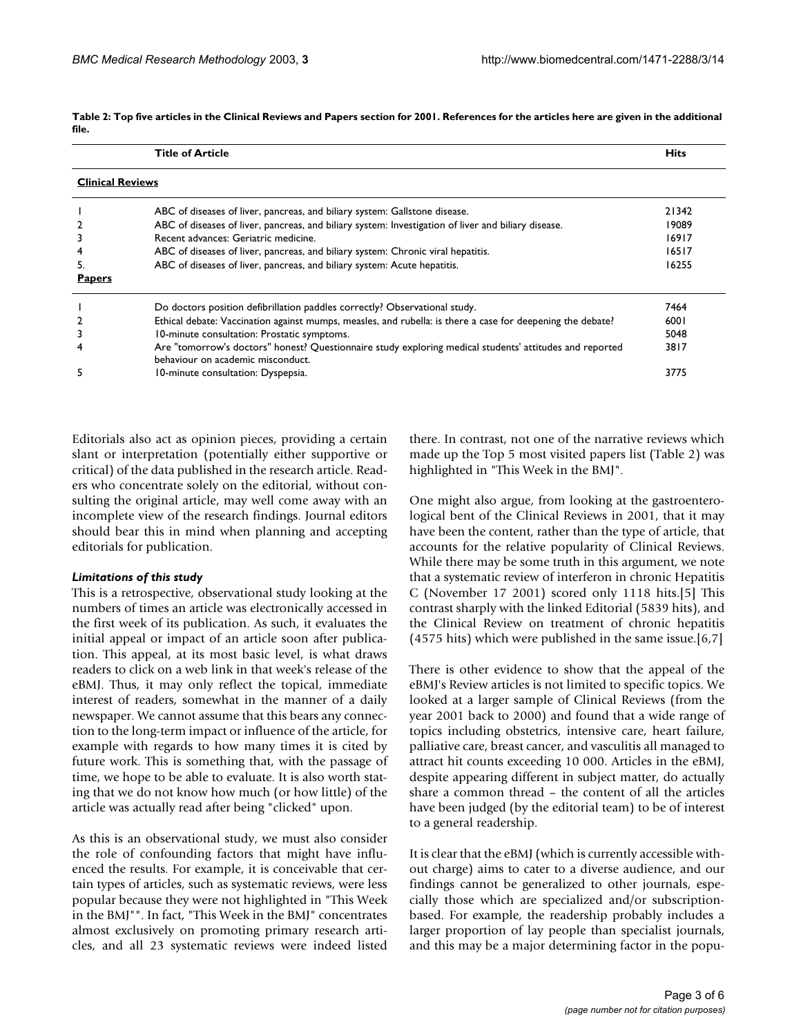<span id="page-2-0"></span>**Table 2: Top five articles in the Clinical Reviews and Papers section for 2001. References for the articles here are given in the additional file.**

|                         | <b>Title of Article</b>                                                                                                                      | <b>Hits</b> |  |
|-------------------------|----------------------------------------------------------------------------------------------------------------------------------------------|-------------|--|
| <b>Clinical Reviews</b> |                                                                                                                                              |             |  |
|                         | ABC of diseases of liver, pancreas, and biliary system: Gallstone disease.                                                                   | 21342       |  |
|                         | ABC of diseases of liver, pancreas, and biliary system: Investigation of liver and biliary disease.                                          | 19089       |  |
|                         | Recent advances: Geriatric medicine.                                                                                                         | 16917       |  |
|                         | ABC of diseases of liver, pancreas, and biliary system: Chronic viral hepatitis.                                                             | 16517       |  |
|                         | ABC of diseases of liver, pancreas, and biliary system: Acute hepatitis.                                                                     | 16255       |  |
| <b>Papers</b>           |                                                                                                                                              |             |  |
|                         | Do doctors position defibrillation paddles correctly? Observational study.                                                                   | 7464        |  |
|                         | Ethical debate: Vaccination against mumps, measles, and rubella: is there a case for deepening the debate?                                   | 6001        |  |
|                         | 10-minute consultation: Prostatic symptoms.                                                                                                  | 5048        |  |
|                         | Are "tomorrow's doctors" honest? Questionnaire study exploring medical students' attitudes and reported<br>behaviour on academic misconduct. | 3817        |  |
|                         | 10-minute consultation: Dyspepsia.                                                                                                           | 3775        |  |

Editorials also act as opinion pieces, providing a certain slant or interpretation (potentially either supportive or critical) of the data published in the research article. Readers who concentrate solely on the editorial, without consulting the original article, may well come away with an incomplete view of the research findings. Journal editors should bear this in mind when planning and accepting editorials for publication.

#### *Limitations of this study*

This is a retrospective, observational study looking at the numbers of times an article was electronically accessed in the first week of its publication. As such, it evaluates the initial appeal or impact of an article soon after publication. This appeal, at its most basic level, is what draws readers to click on a web link in that week's release of the eBMJ. Thus, it may only reflect the topical, immediate interest of readers, somewhat in the manner of a daily newspaper. We cannot assume that this bears any connection to the long-term impact or influence of the article, for example with regards to how many times it is cited by future work. This is something that, with the passage of time, we hope to be able to evaluate. It is also worth stating that we do not know how much (or how little) of the article was actually read after being "clicked" upon.

As this is an observational study, we must also consider the role of confounding factors that might have influenced the results. For example, it is conceivable that certain types of articles, such as systematic reviews, were less popular because they were not highlighted in "This Week in the BMJ"". In fact, "This Week in the BMJ" concentrates almost exclusively on promoting primary research articles, and all 23 systematic reviews were indeed listed there. In contrast, not one of the narrative reviews which made up the Top 5 most visited papers list (Table [2\)](#page-2-0) was highlighted in "This Week in the BMJ".

One might also argue, from looking at the gastroenterological bent of the Clinical Reviews in 2001, that it may have been the content, rather than the type of article, that accounts for the relative popularity of Clinical Reviews. While there may be some truth in this argument, we note that a systematic review of interferon in chronic Hepatitis C (November 17 2001) scored only 1118 hits.[5] This contrast sharply with the linked Editorial (5839 hits), and the Clinical Review on treatment of chronic hepatitis (4575 hits) which were published in the same issue.[6,7]

There is other evidence to show that the appeal of the eBMJ's Review articles is not limited to specific topics. We looked at a larger sample of Clinical Reviews (from the year 2001 back to 2000) and found that a wide range of topics including obstetrics, intensive care, heart failure, palliative care, breast cancer, and vasculitis all managed to attract hit counts exceeding 10 000. Articles in the eBMJ, despite appearing different in subject matter, do actually share a common thread – the content of all the articles have been judged (by the editorial team) to be of interest to a general readership.

It is clear that the eBMJ (which is currently accessible without charge) aims to cater to a diverse audience, and our findings cannot be generalized to other journals, especially those which are specialized and/or subscriptionbased. For example, the readership probably includes a larger proportion of lay people than specialist journals, and this may be a major determining factor in the popu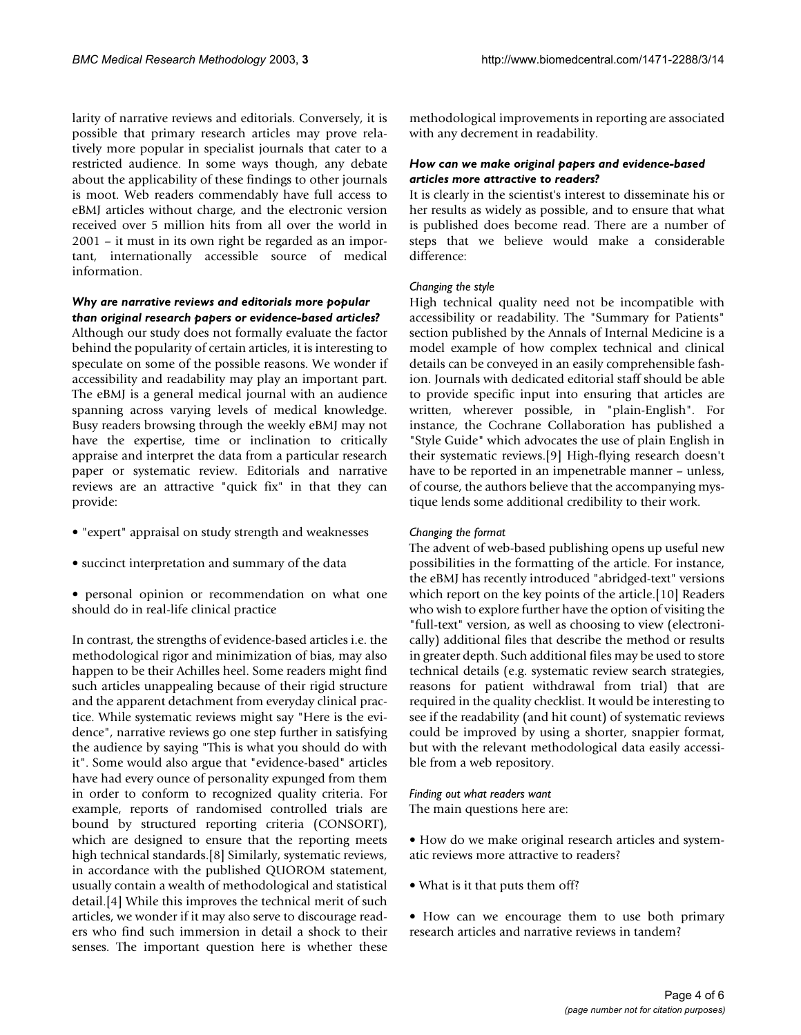larity of narrative reviews and editorials. Conversely, it is possible that primary research articles may prove relatively more popular in specialist journals that cater to a restricted audience. In some ways though, any debate about the applicability of these findings to other journals is moot. Web readers commendably have full access to eBMJ articles without charge, and the electronic version received over 5 million hits from all over the world in 2001 – it must in its own right be regarded as an important, internationally accessible source of medical information.

# *Why are narrative reviews and editorials more popular than original research papers or evidence-based articles?*

Although our study does not formally evaluate the factor behind the popularity of certain articles, it is interesting to speculate on some of the possible reasons. We wonder if accessibility and readability may play an important part. The eBMJ is a general medical journal with an audience spanning across varying levels of medical knowledge. Busy readers browsing through the weekly eBMJ may not have the expertise, time or inclination to critically appraise and interpret the data from a particular research paper or systematic review. Editorials and narrative reviews are an attractive "quick fix" in that they can provide:

- "expert" appraisal on study strength and weaknesses
- succinct interpretation and summary of the data
- personal opinion or recommendation on what one should do in real-life clinical practice

In contrast, the strengths of evidence-based articles i.e. the methodological rigor and minimization of bias, may also happen to be their Achilles heel. Some readers might find such articles unappealing because of their rigid structure and the apparent detachment from everyday clinical practice. While systematic reviews might say "Here is the evidence", narrative reviews go one step further in satisfying the audience by saying "This is what you should do with it". Some would also argue that "evidence-based" articles have had every ounce of personality expunged from them in order to conform to recognized quality criteria. For example, reports of randomised controlled trials are bound by structured reporting criteria (CONSORT), which are designed to ensure that the reporting meets high technical standards.<sup>[8]</sup> Similarly, systematic reviews, in accordance with the published QUOROM statement, usually contain a wealth of methodological and statistical detail.[4] While this improves the technical merit of such articles, we wonder if it may also serve to discourage readers who find such immersion in detail a shock to their senses. The important question here is whether these methodological improvements in reporting are associated with any decrement in readability.

# *How can we make original papers and evidence-based articles more attractive to readers?*

It is clearly in the scientist's interest to disseminate his or her results as widely as possible, and to ensure that what is published does become read. There are a number of steps that we believe would make a considerable difference:

# *Changing the style*

High technical quality need not be incompatible with accessibility or readability. The "Summary for Patients" section published by the Annals of Internal Medicine is a model example of how complex technical and clinical details can be conveyed in an easily comprehensible fashion. Journals with dedicated editorial staff should be able to provide specific input into ensuring that articles are written, wherever possible, in "plain-English". For instance, the Cochrane Collaboration has published a "Style Guide" which advocates the use of plain English in their systematic reviews.[9] High-flying research doesn't have to be reported in an impenetrable manner – unless, of course, the authors believe that the accompanying mystique lends some additional credibility to their work.

#### *Changing the format*

The advent of web-based publishing opens up useful new possibilities in the formatting of the article. For instance, the eBMJ has recently introduced "abridged-text" versions which report on the key points of the article.[10] Readers who wish to explore further have the option of visiting the "full-text" version, as well as choosing to view (electronically) additional files that describe the method or results in greater depth. Such additional files may be used to store technical details (e.g. systematic review search strategies, reasons for patient withdrawal from trial) that are required in the quality checklist. It would be interesting to see if the readability (and hit count) of systematic reviews could be improved by using a shorter, snappier format, but with the relevant methodological data easily accessible from a web repository.

*Finding out what readers want* The main questions here are:

• How do we make original research articles and systematic reviews more attractive to readers?

• What is it that puts them off?

• How can we encourage them to use both primary research articles and narrative reviews in tandem?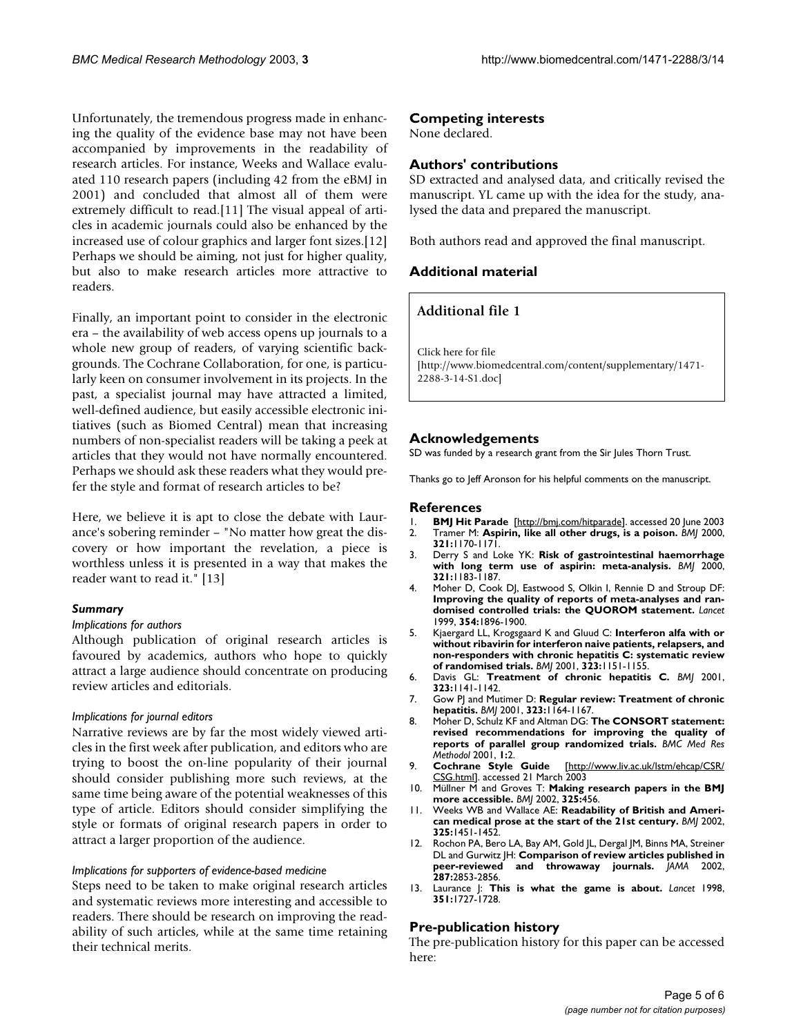Unfortunately, the tremendous progress made in enhancing the quality of the evidence base may not have been accompanied by improvements in the readability of research articles. For instance, Weeks and Wallace evaluated 110 research papers (including 42 from the eBMJ in 2001) and concluded that almost all of them were extremely difficult to read.[11] The visual appeal of articles in academic journals could also be enhanced by the increased use of colour graphics and larger font sizes.[12] Perhaps we should be aiming, not just for higher quality, but also to make research articles more attractive to readers.

Finally, an important point to consider in the electronic era – the availability of web access opens up journals to a whole new group of readers, of varying scientific backgrounds. The Cochrane Collaboration, for one, is particularly keen on consumer involvement in its projects. In the past, a specialist journal may have attracted a limited, well-defined audience, but easily accessible electronic initiatives (such as Biomed Central) mean that increasing numbers of non-specialist readers will be taking a peek at articles that they would not have normally encountered. Perhaps we should ask these readers what they would prefer the style and format of research articles to be?

Here, we believe it is apt to close the debate with Laurance's sobering reminder – "No matter how great the discovery or how important the revelation, a piece is worthless unless it is presented in a way that makes the reader want to read it." [13]

#### *Summary*

#### *Implications for authors*

Although publication of original research articles is favoured by academics, authors who hope to quickly attract a large audience should concentrate on producing review articles and editorials.

#### *Implications for journal editors*

Narrative reviews are by far the most widely viewed articles in the first week after publication, and editors who are trying to boost the on-line popularity of their journal should consider publishing more such reviews, at the same time being aware of the potential weaknesses of this type of article. Editors should consider simplifying the style or formats of original research papers in order to attract a larger proportion of the audience.

#### *Implications for supporters of evidence-based medicine*

Steps need to be taken to make original research articles and systematic reviews more interesting and accessible to readers. There should be research on improving the readability of such articles, while at the same time retaining their technical merits.

# **Competing interests**

None declared.

# **Authors' contributions**

SD extracted and analysed data, and critically revised the manuscript. YL came up with the idea for the study, analysed the data and prepared the manuscript.

Both authors read and approved the final manuscript.

# **Additional material**

# **Additional file 1**

Click here for file [\[http://www.biomedcentral.com/content/supplementary/1471-](http://www.biomedcentral.com/content/supplementary/1471-2288-3-14-S1.doc) 2288-3-14-S1.doc]

# **Acknowledgements**

SD was funded by a research grant from the Sir Jules Thorn Trust.

Thanks go to Jeff Aronson for his helpful comments on the manuscript.

#### **References**

- 1. **BMJ Hit Parade** [<http://bmj.com/hitparade>]. accessed 20 June 2003
- 2. Tramer M: **[Aspirin, like all other drugs, is a poison.](http://www.ncbi.nlm.nih.gov/entrez/query.fcgi?cmd=Retrieve&db=PubMed&dopt=Abstract&list_uids=11073495)** *BMJ* 2000, **321:**1170-1171.
- 3. Derry S and Loke YK: **[Risk of gastrointestinal haemorrhage](http://www.ncbi.nlm.nih.gov/entrez/query.fcgi?cmd=Retrieve&db=PubMed&dopt=Abstract&list_uids=11073508) [with long term use of aspirin: meta-analysis](http://www.ncbi.nlm.nih.gov/entrez/query.fcgi?cmd=Retrieve&db=PubMed&dopt=Abstract&list_uids=11073508)[.](http://www.ncbi.nlm.nih.gov/entrez/query.fcgi?cmd=Retrieve&db=PubMed&dopt=Abstract&list_uids=10.1136/bmj.321.7270.1183)** *BMJ* 2000, **321:**1183-1187.
- 4. Moher D, Cook DJ, Eastwood S, Olkin I, Rennie D and Stroup DF: **[Improving the quality of reports of meta-analyses and ran](http://www.ncbi.nlm.nih.gov/entrez/query.fcgi?cmd=Retrieve&db=PubMed&dopt=Abstract&list_uids=10584742)[domised controlled trials: the QUOROM statement](http://www.ncbi.nlm.nih.gov/entrez/query.fcgi?cmd=Retrieve&db=PubMed&dopt=Abstract&list_uids=10584742)[.](http://www.ncbi.nlm.nih.gov/entrez/query.fcgi?cmd=Retrieve&db=PubMed&dopt=Abstract&list_uids=10.1016/S0140-6736(99)04149-5)** *Lancet* 1999, **354:**1896-1900.
- 5. Kjaergard LL, Krogsgaard K and Gluud C: **[Interferon alfa with or](http://www.ncbi.nlm.nih.gov/entrez/query.fcgi?cmd=Retrieve&db=PubMed&dopt=Abstract&list_uids=11711405) without ribavirin for interferon naive patients, relapsers, and [non-responders with chronic hepatitis C: systematic review](http://www.ncbi.nlm.nih.gov/entrez/query.fcgi?cmd=Retrieve&db=PubMed&dopt=Abstract&list_uids=11711405) [of randomised trials](http://www.ncbi.nlm.nih.gov/entrez/query.fcgi?cmd=Retrieve&db=PubMed&dopt=Abstract&list_uids=11711405)[.](http://www.ncbi.nlm.nih.gov/entrez/query.fcgi?cmd=Retrieve&db=PubMed&dopt=Abstract&list_uids=10.1136/bmj.323.7322.1151)** *BMJ* 2001, **323:**1151-1155.
- 6. Davis GL: **[Treatment of chronic hepatitis C](http://www.ncbi.nlm.nih.gov/entrez/query.fcgi?cmd=Retrieve&db=PubMed&dopt=Abstract&list_uids=11711386)[.](http://www.ncbi.nlm.nih.gov/entrez/query.fcgi?cmd=Retrieve&db=PubMed&dopt=Abstract&list_uids=10.1136/bmj.323.7322.1141)** *BMJ* 2001, **323:**1141-1142.
- 7. Gow PJ and Mutimer D: **[Regular review: Treatment of chronic](http://www.ncbi.nlm.nih.gov/entrez/query.fcgi?cmd=Retrieve&db=PubMed&dopt=Abstract&list_uids=11711410) [hepatitis](http://www.ncbi.nlm.nih.gov/entrez/query.fcgi?cmd=Retrieve&db=PubMed&dopt=Abstract&list_uids=11711410)[.](http://www.ncbi.nlm.nih.gov/entrez/query.fcgi?cmd=Retrieve&db=PubMed&dopt=Abstract&list_uids=10.1136/bmj.323.7322.1164)** *BMJ* 2001, **323:**1164-1167.
- 8. Moher D, Schulz KF and Altman DG: **[The CONSORT statement:](http://www.ncbi.nlm.nih.gov/entrez/query.fcgi?cmd=Retrieve&db=PubMed&dopt=Abstract&list_uids=11336663) [revised recommendations for improving the quality of](http://www.ncbi.nlm.nih.gov/entrez/query.fcgi?cmd=Retrieve&db=PubMed&dopt=Abstract&list_uids=11336663) [reports of parallel group randomized trials](http://www.ncbi.nlm.nih.gov/entrez/query.fcgi?cmd=Retrieve&db=PubMed&dopt=Abstract&list_uids=11336663)[.](http://www.ncbi.nlm.nih.gov/entrez/query.fcgi?cmd=Retrieve&db=PubMed&dopt=Abstract&list_uids=10.1186/1471-2288-1-2)** *BMC Med Res Methodol* 2001, **1:**2.
- 9. **Cochrane Style Guide** [[http://www.liv.ac.uk/lstm/ehcap/CSR/](http://www.liv.ac.uk/lstm/ehcap/CSR/CSG.html) [CSG.html\]](http://www.liv.ac.uk/lstm/ehcap/CSR/CSG.html). accessed 21 March 2003
- 10. Müllner M and Groves T: **Making research papers in the BMJ more accessible.** *BMJ* 2002, **325:**456.
- 11. Weeks WB and Wallace AE: **[Readability of British and Ameri](http://www.ncbi.nlm.nih.gov/entrez/query.fcgi?cmd=Retrieve&db=PubMed&dopt=Abstract&list_uids=12493663)[can medical prose at the start of the 21st century](http://www.ncbi.nlm.nih.gov/entrez/query.fcgi?cmd=Retrieve&db=PubMed&dopt=Abstract&list_uids=12493663)[.](http://www.ncbi.nlm.nih.gov/entrez/query.fcgi?cmd=Retrieve&db=PubMed&dopt=Abstract&list_uids=10.1136/bmj.325.7378.1451)** *BMJ* 2002, **325:**1451-1452.
- 12. Rochon PA, Bero LA, Bay AM, Gold JL, Dergal JM, Binns MA, Streiner DL and Gurwitz JH: **[Comparison of review articles published in](http://www.ncbi.nlm.nih.gov/entrez/query.fcgi?cmd=Retrieve&db=PubMed&dopt=Abstract&list_uids=12038932) [peer-reviewed and throwaway journals](http://www.ncbi.nlm.nih.gov/entrez/query.fcgi?cmd=Retrieve&db=PubMed&dopt=Abstract&list_uids=12038932)[.](http://www.ncbi.nlm.nih.gov/entrez/query.fcgi?cmd=Retrieve&db=PubMed&dopt=Abstract&list_uids=10.1001/jama.287.21.2853)** *JAMA* 2002, **287:**2853-2856.
- 13. Laurance J: **[This is what the game is about](http://www.ncbi.nlm.nih.gov/entrez/query.fcgi?cmd=Retrieve&db=PubMed&dopt=Abstract&list_uids=9734906)[.](http://www.ncbi.nlm.nih.gov/entrez/query.fcgi?cmd=Retrieve&db=PubMed&dopt=Abstract&list_uids=10.1016/S0140-6736(98)02390-3)** *Lancet* 1998, **351:**1727-1728.

# **Pre-publication history**

The pre-publication history for this paper can be accessed here: